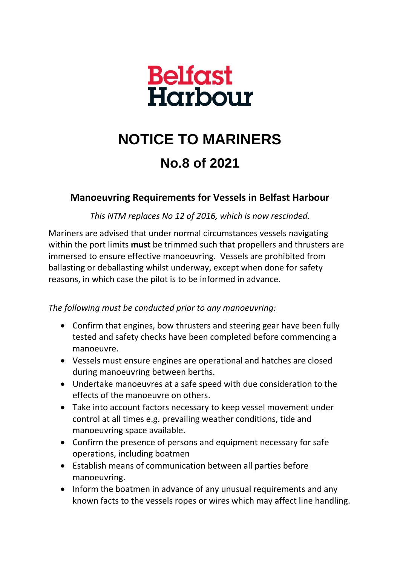

## **NOTICE TO MARINERS No.8 of 2021**

## **Manoeuvring Requirements for Vessels in Belfast Harbour**

*This NTM replaces No 12 of 2016, which is now rescinded.*

Mariners are advised that under normal circumstances vessels navigating within the port limits **must** be trimmed such that propellers and thrusters are immersed to ensure effective manoeuvring. Vessels are prohibited from ballasting or deballasting whilst underway, except when done for safety reasons, in which case the pilot is to be informed in advance.

*The following must be conducted prior to any manoeuvring:*

- Confirm that engines, bow thrusters and steering gear have been fully tested and safety checks have been completed before commencing a manoeuvre.
- Vessels must ensure engines are operational and hatches are closed during manoeuvring between berths.
- Undertake manoeuvres at a safe speed with due consideration to the effects of the manoeuvre on others.
- Take into account factors necessary to keep vessel movement under control at all times e.g. prevailing weather conditions, tide and manoeuvring space available.
- Confirm the presence of persons and equipment necessary for safe operations, including boatmen
- Establish means of communication between all parties before manoeuvring.
- Inform the boatmen in advance of any unusual requirements and any known facts to the vessels ropes or wires which may affect line handling.